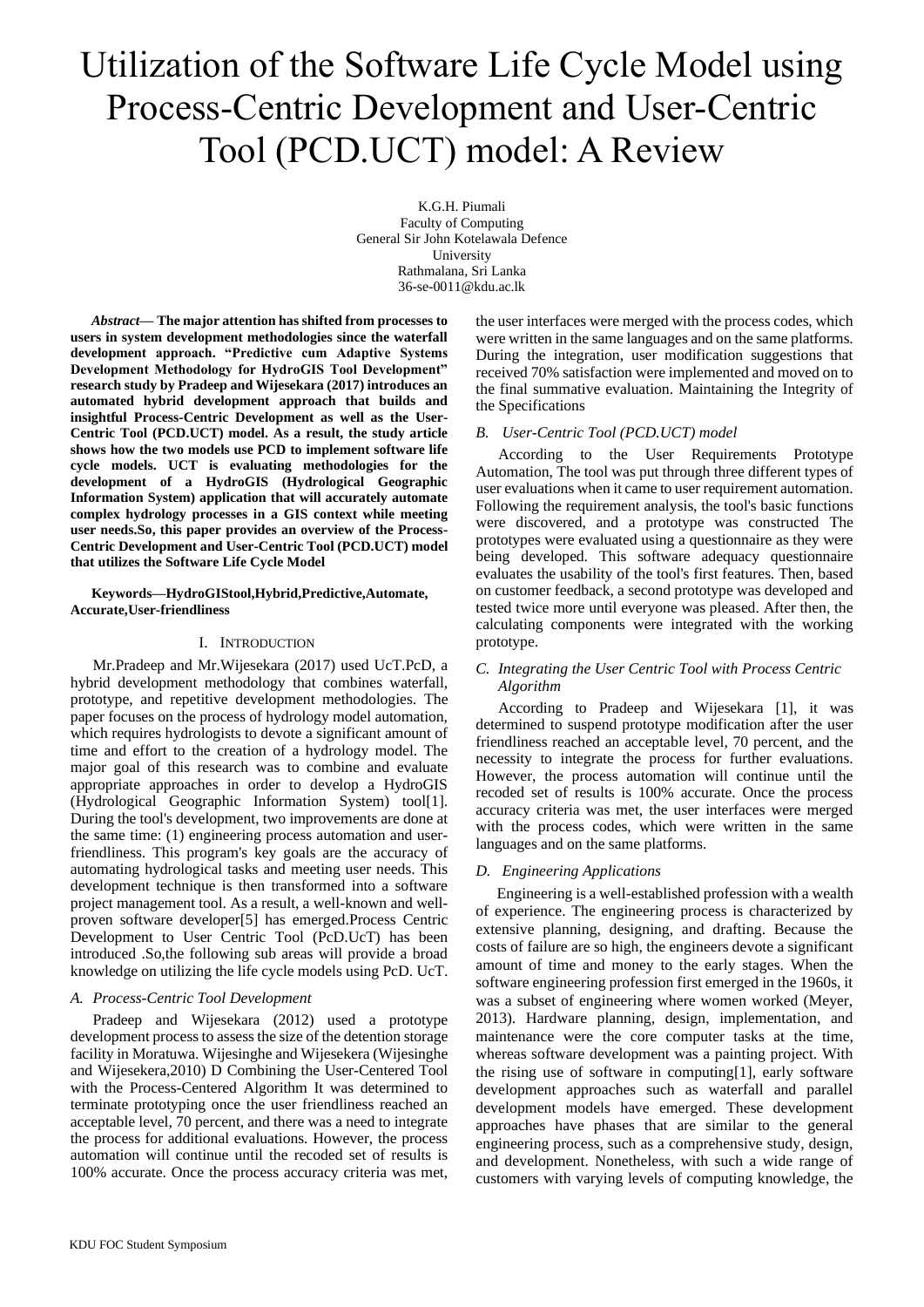# Utilization of the Software Life Cycle Model using Process-Centric Development and User-Centric Tool (PCD.UCT) model: A Review

K.G.H. Piumali Faculty of Computing General Sir John Kotelawala Defence University Rathmalana, Sri Lanka 36-se-0011@kdu.ac.lk

*Abstract***— The major attention has shifted from processes to users in system development methodologies since the waterfall development approach. "Predictive cum Adaptive Systems Development Methodology for HydroGIS Tool Development" research study by Pradeep and Wijesekara (2017) introduces an automated hybrid development approach that builds and insightful Process-Centric Development as well as the User-Centric Tool (PCD.UCT) model. As a result, the study article shows how the two models use PCD to implement software life cycle models. UCT is evaluating methodologies for the development of a HydroGIS (Hydrological Geographic Information System) application that will accurately automate complex hydrology processes in a GIS context while meeting user needs.So, this paper provides an overview of the Process-Centric Development and User-Centric Tool (PCD.UCT) model that utilizes the Software Life Cycle Model** 

**Keywords—HydroGIStool,Hybrid,Predictive,Automate, Accurate,User-friendliness**

# I. INTRODUCTION

Mr.Pradeep and Mr.Wijesekara (2017) used UcT.PcD, a hybrid development methodology that combines waterfall, prototype, and repetitive development methodologies. The paper focuses on the process of hydrology model automation, which requires hydrologists to devote a significant amount of time and effort to the creation of a hydrology model. The major goal of this research was to combine and evaluate appropriate approaches in order to develop a HydroGIS (Hydrological Geographic Information System) tool[1]. During the tool's development, two improvements are done at the same time: (1) engineering process automation and userfriendliness. This program's key goals are the accuracy of automating hydrological tasks and meeting user needs. This development technique is then transformed into a software project management tool. As a result, a well-known and wellproven software developer[5] has emerged.Process Centric Development to User Centric Tool (PcD.UcT) has been introduced .So,the following sub areas will provide a broad knowledge on utilizing the life cycle models using PcD. UcT.

# *A. Process-Centric Tool Development*

Pradeep and Wijesekara (2012) used a prototype development process to assess the size of the detention storage facility in Moratuwa. Wijesinghe and Wijesekera (Wijesinghe and Wijesekera,2010) D Combining the User-Centered Tool with the Process-Centered Algorithm It was determined to terminate prototyping once the user friendliness reached an acceptable level, 70 percent, and there was a need to integrate the process for additional evaluations. However, the process automation will continue until the recoded set of results is 100% accurate. Once the process accuracy criteria was met, the user interfaces were merged with the process codes, which were written in the same languages and on the same platforms. During the integration, user modification suggestions that received 70% satisfaction were implemented and moved on to the final summative evaluation. Maintaining the Integrity of the Specifications

## *B. User-Centric Tool (PCD.UCT) model*

According to the User Requirements Prototype Automation, The tool was put through three different types of user evaluations when it came to user requirement automation. Following the requirement analysis, the tool's basic functions were discovered, and a prototype was constructed The prototypes were evaluated using a questionnaire as they were being developed. This software adequacy questionnaire evaluates the usability of the tool's first features. Then, based on customer feedback, a second prototype was developed and tested twice more until everyone was pleased. After then, the calculating components were integrated with the working prototype.

# *C. Integrating the User Centric Tool with Process Centric Algorithm*

According to Pradeep and Wijesekara [1], it was determined to suspend prototype modification after the user friendliness reached an acceptable level, 70 percent, and the necessity to integrate the process for further evaluations. However, the process automation will continue until the recoded set of results is 100% accurate. Once the process accuracy criteria was met, the user interfaces were merged with the process codes, which were written in the same languages and on the same platforms.

## *D. Engineering Applications*

Engineering is a well-established profession with a wealth of experience. The engineering process is characterized by extensive planning, designing, and drafting. Because the costs of failure are so high, the engineers devote a significant amount of time and money to the early stages. When the software engineering profession first emerged in the 1960s, it was a subset of engineering where women worked (Meyer, 2013). Hardware planning, design, implementation, and maintenance were the core computer tasks at the time, whereas software development was a painting project. With the rising use of software in computing[1], early software development approaches such as waterfall and parallel development models have emerged. These development approaches have phases that are similar to the general engineering process, such as a comprehensive study, design, and development. Nonetheless, with such a wide range of customers with varying levels of computing knowledge, the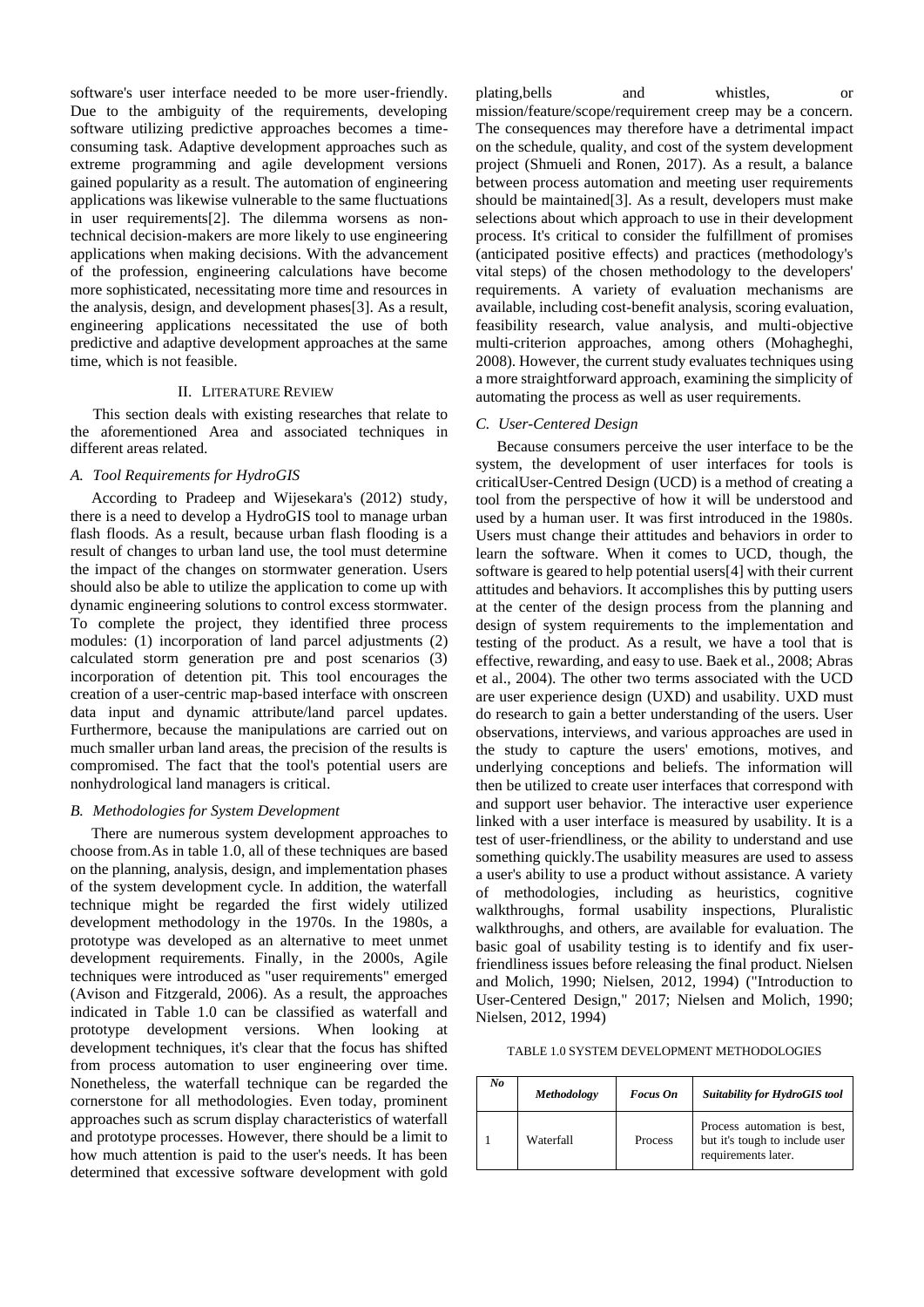software's user interface needed to be more user-friendly. Due to the ambiguity of the requirements, developing software utilizing predictive approaches becomes a timeconsuming task. Adaptive development approaches such as extreme programming and agile development versions gained popularity as a result. The automation of engineering applications was likewise vulnerable to the same fluctuations in user requirements[2]. The dilemma worsens as nontechnical decision-makers are more likely to use engineering applications when making decisions. With the advancement of the profession, engineering calculations have become more sophisticated, necessitating more time and resources in the analysis, design, and development phases[3]. As a result, engineering applications necessitated the use of both predictive and adaptive development approaches at the same time, which is not feasible.

## II. LITERATURE REVIEW

This section deals with existing researches that relate to the aforementioned Area and associated techniques in different areas related.

## *A. Tool Requirements for HydroGIS*

According to Pradeep and Wijesekara's (2012) study, there is a need to develop a HydroGIS tool to manage urban flash floods. As a result, because urban flash flooding is a result of changes to urban land use, the tool must determine the impact of the changes on stormwater generation. Users should also be able to utilize the application to come up with dynamic engineering solutions to control excess stormwater. To complete the project, they identified three process modules: (1) incorporation of land parcel adjustments (2) calculated storm generation pre and post scenarios (3) incorporation of detention pit. This tool encourages the creation of a user-centric map-based interface with onscreen data input and dynamic attribute/land parcel updates. Furthermore, because the manipulations are carried out on much smaller urban land areas, the precision of the results is compromised. The fact that the tool's potential users are nonhydrological land managers is critical.

### *B. Methodologies for System Development*

There are numerous system development approaches to choose from.As in table 1.0, all of these techniques are based on the planning, analysis, design, and implementation phases of the system development cycle. In addition, the waterfall technique might be regarded the first widely utilized development methodology in the 1970s. In the 1980s, a prototype was developed as an alternative to meet unmet development requirements. Finally, in the 2000s, Agile techniques were introduced as "user requirements" emerged (Avison and Fitzgerald, 2006). As a result, the approaches indicated in Table 1.0 can be classified as waterfall and prototype development versions. When looking at development techniques, it's clear that the focus has shifted from process automation to user engineering over time. Nonetheless, the waterfall technique can be regarded the cornerstone for all methodologies. Even today, prominent approaches such as scrum display characteristics of waterfall and prototype processes. However, there should be a limit to how much attention is paid to the user's needs. It has been determined that excessive software development with gold

plating,bells and whistles, or mission/feature/scope/requirement creep may be a concern. The consequences may therefore have a detrimental impact on the schedule, quality, and cost of the system development project (Shmueli and Ronen, 2017). As a result, a balance between process automation and meeting user requirements should be maintained[3]. As a result, developers must make selections about which approach to use in their development process. It's critical to consider the fulfillment of promises (anticipated positive effects) and practices (methodology's vital steps) of the chosen methodology to the developers' requirements. A variety of evaluation mechanisms are available, including cost-benefit analysis, scoring evaluation, feasibility research, value analysis, and multi-objective multi-criterion approaches, among others (Mohagheghi, 2008). However, the current study evaluates techniques using a more straightforward approach, examining the simplicity of automating the process as well as user requirements.

#### *C. User-Centered Design*

Because consumers perceive the user interface to be the system, the development of user interfaces for tools is criticalUser-Centred Design (UCD) is a method of creating a tool from the perspective of how it will be understood and used by a human user. It was first introduced in the 1980s. Users must change their attitudes and behaviors in order to learn the software. When it comes to UCD, though, the software is geared to help potential users[4] with their current attitudes and behaviors. It accomplishes this by putting users at the center of the design process from the planning and design of system requirements to the implementation and testing of the product. As a result, we have a tool that is effective, rewarding, and easy to use. Baek et al., 2008; Abras et al., 2004). The other two terms associated with the UCD are user experience design (UXD) and usability. UXD must do research to gain a better understanding of the users. User observations, interviews, and various approaches are used in the study to capture the users' emotions, motives, and underlying conceptions and beliefs. The information will then be utilized to create user interfaces that correspond with and support user behavior. The interactive user experience linked with a user interface is measured by usability. It is a test of user-friendliness, or the ability to understand and use something quickly.The usability measures are used to assess a user's ability to use a product without assistance. A variety of methodologies, including as heuristics, cognitive walkthroughs, formal usability inspections, Pluralistic walkthroughs, and others, are available for evaluation. The basic goal of usability testing is to identify and fix userfriendliness issues before releasing the final product. Nielsen and Molich, 1990; Nielsen, 2012, 1994) ("Introduction to User-Centered Design," 2017; Nielsen and Molich, 1990; Nielsen, 2012, 1994)

TABLE 1.0 SYSTEM DEVELOPMENT METHODOLOGIES

| No | <b>Methodology</b> | Focus On       | <b>Suitability for HydroGIS tool</b>                                                 |
|----|--------------------|----------------|--------------------------------------------------------------------------------------|
|    | Waterfall          | <b>Process</b> | Process automation is best,<br>but it's tough to include user<br>requirements later. |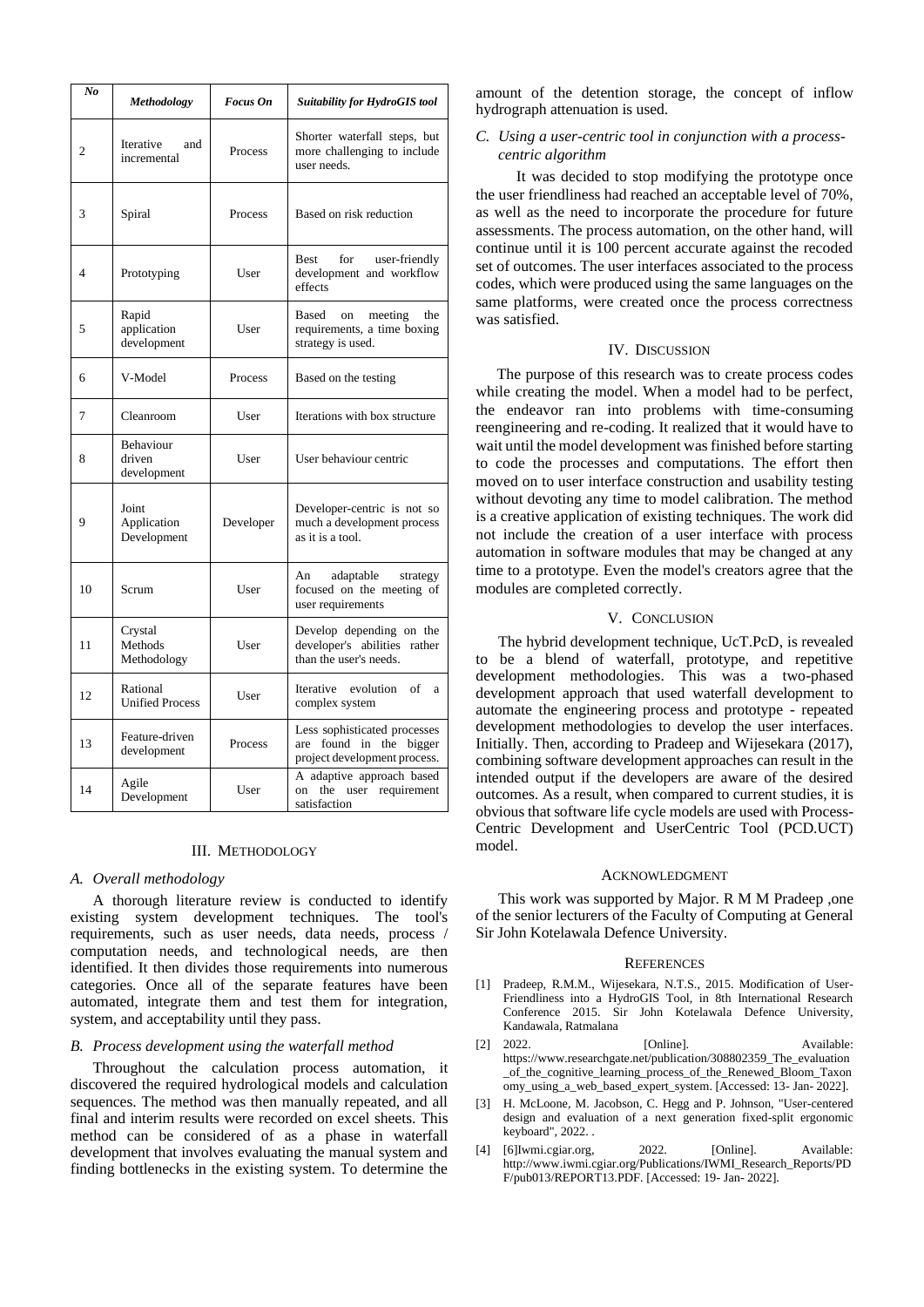| No | Methodology                         | <b>Focus</b> On | <b>Suitability for HydroGIS tool</b>                                                    |
|----|-------------------------------------|-----------------|-----------------------------------------------------------------------------------------|
| 2  | Iterative<br>and<br>incremental     | Process         | Shorter waterfall steps, but<br>more challenging to include<br>user needs.              |
| 3  | Spiral                              | Process         | Based on risk reduction                                                                 |
| 4  | Prototyping                         | User            | Best<br>for<br>user-friendly<br>development and workflow<br>effects                     |
| 5  | Rapid<br>application<br>development | User            | Based<br>on<br>meeting<br>the<br>requirements, a time boxing<br>strategy is used.       |
| 6  | V-Model                             | Process         | Based on the testing                                                                    |
| 7  | Cleanroom                           | User            | Iterations with box structure                                                           |
| 8  | Behaviour<br>driven<br>development  | User            | User behaviour centric                                                                  |
| 9  | Joint<br>Application<br>Development | Developer       | Developer-centric is not so<br>much a development process<br>as it is a tool.           |
| 10 | Scrum                               | User            | An<br>adaptable<br>strategy<br>focused on the meeting of<br>user requirements           |
| 11 | Crystal<br>Methods<br>Methodology   | User            | Develop depending on the<br>developer's abilities rather<br>than the user's needs.      |
| 12 | Rational<br><b>Unified Process</b>  | User            | Iterative evolution<br>of<br>a<br>complex system                                        |
| 13 | Feature-driven<br>development       | Process         | Less sophisticated processes<br>are found in the bigger<br>project development process. |
| 14 | Agile<br>Development                | User            | A adaptive approach based<br>the user requirement<br>on<br>satisfaction                 |

## III. METHODOLOGY

#### *A. Overall methodology*

A thorough literature review is conducted to identify existing system development techniques. The tool's requirements, such as user needs, data needs, process / computation needs, and technological needs, are then identified. It then divides those requirements into numerous categories. Once all of the separate features have been automated, integrate them and test them for integration, system, and acceptability until they pass.

## *B. Process development using the waterfall method*

Throughout the calculation process automation, it discovered the required hydrological models and calculation sequences. The method was then manually repeated, and all final and interim results were recorded on excel sheets. This method can be considered of as a phase in waterfall development that involves evaluating the manual system and finding bottlenecks in the existing system. To determine the

amount of the detention storage, the concept of inflow hydrograph attenuation is used.

# *C. Using a user-centric tool in conjunction with a processcentric algorithm*

 It was decided to stop modifying the prototype once the user friendliness had reached an acceptable level of 70%, as well as the need to incorporate the procedure for future assessments. The process automation, on the other hand, will continue until it is 100 percent accurate against the recoded set of outcomes. The user interfaces associated to the process codes, which were produced using the same languages on the same platforms, were created once the process correctness was satisfied.

# IV. DISCUSSION

The purpose of this research was to create process codes while creating the model. When a model had to be perfect, the endeavor ran into problems with time-consuming reengineering and re-coding. It realized that it would have to wait until the model development was finished before starting to code the processes and computations. The effort then moved on to user interface construction and usability testing without devoting any time to model calibration. The method is a creative application of existing techniques. The work did not include the creation of a user interface with process automation in software modules that may be changed at any time to a prototype. Even the model's creators agree that the modules are completed correctly.

# V. CONCLUSION

The hybrid development technique, UcT.PcD, is revealed to be a blend of waterfall, prototype, and repetitive development methodologies. This was a two-phased development approach that used waterfall development to automate the engineering process and prototype - repeated development methodologies to develop the user interfaces. Initially. Then, according to Pradeep and Wijesekara (2017), combining software development approaches can result in the intended output if the developers are aware of the desired outcomes. As a result, when compared to current studies, it is obvious that software life cycle models are used with Process-Centric Development and UserCentric Tool (PCD.UCT) model.

## ACKNOWLEDGMENT

This work was supported by Major. R M M Pradeep ,one of the senior lecturers of the Faculty of Computing at General Sir John Kotelawala Defence University.

#### **REFERENCES**

- [1] Pradeep, R.M.M., Wijesekara, N.T.S., 2015. Modification of User-Friendliness into a HydroGIS Tool, in 8th International Research Conference 2015. Sir John Kotelawala Defence University, Kandawala, Ratmalana
- [2] 2022. [Online]. Available: https://www.researchgate.net/publication/308802359\_The\_evaluation \_of\_the\_cognitive\_learning\_process\_of\_the\_Renewed\_Bloom\_Taxon omy\_using\_a\_web\_based\_expert\_system. [Accessed: 13- Jan- 2022].
- [3] H. McLoone, M. Jacobson, C. Hegg and P. Johnson, "User-centered design and evaluation of a next generation fixed-split ergonomic keyboard", 2022. .
- [4] [6]Iwmi.cgiar.org, 2022. [Online]. Available: http://www.iwmi.cgiar.org/Publications/IWMI\_Research\_Reports/PD F/pub013/REPORT13.PDF. [Accessed: 19- Jan- 2022].